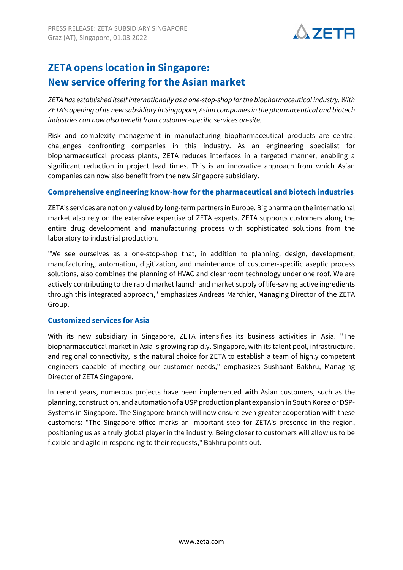

# **ZETA opens location in Singapore: New service offering for the Asian market**

*ZETA has established itself internationally as a one-stop-shop for the biopharmaceutical industry. With ZETA's opening of its new subsidiary in Singapore, Asian companies in the pharmaceutical and biotech industries can now also benefit from customer-specific services on-site.*

Risk and complexity management in manufacturing biopharmaceutical products are central challenges confronting companies in this industry. As an engineering specialist for biopharmaceutical process plants, ZETA reduces interfaces in a targeted manner, enabling a significant reduction in project lead times. This is an innovative approach from which Asian companies can now also benefit from the new Singapore subsidiary.

#### **Comprehensive engineering know-how for the pharmaceutical and biotech industries**

ZETA's services are not only valued by long-term partners in Europe. Big pharma on the international market also rely on the extensive expertise of ZETA experts. ZETA supports customers along the entire drug development and manufacturing process with sophisticated solutions from the laboratory to industrial production.

"We see ourselves as a one-stop-shop that, in addition to planning, design, development, manufacturing, automation, digitization, and maintenance of customer-specific aseptic process solutions, also combines the planning of HVAC and cleanroom technology under one roof. We are actively contributing to the rapid market launch and market supply of life-saving active ingredients through this integrated approach," emphasizes Andreas Marchler, Managing Director of the ZETA Group.

# **Customized services for Asia**

With its new subsidiary in Singapore, ZETA intensifies its business activities in Asia. "The biopharmaceutical market in Asia is growing rapidly. Singapore, with its talent pool, infrastructure, and regional connectivity, is the natural choice for ZETA to establish a team of highly competent engineers capable of meeting our customer needs," emphasizes Sushaant Bakhru, Managing Director of ZETA Singapore.

In recent years, numerous projects have been implemented with Asian customers, such as the planning, construction, and automation of a USP production plant expansion in South Korea or DSP-Systems in Singapore. The Singapore branch will now ensure even greater cooperation with these customers: "The Singapore office marks an important step for ZETA's presence in the region, positioning us as a truly global player in the industry. Being closer to customers will allow us to be flexible and agile in responding to their requests," Bakhru points out.